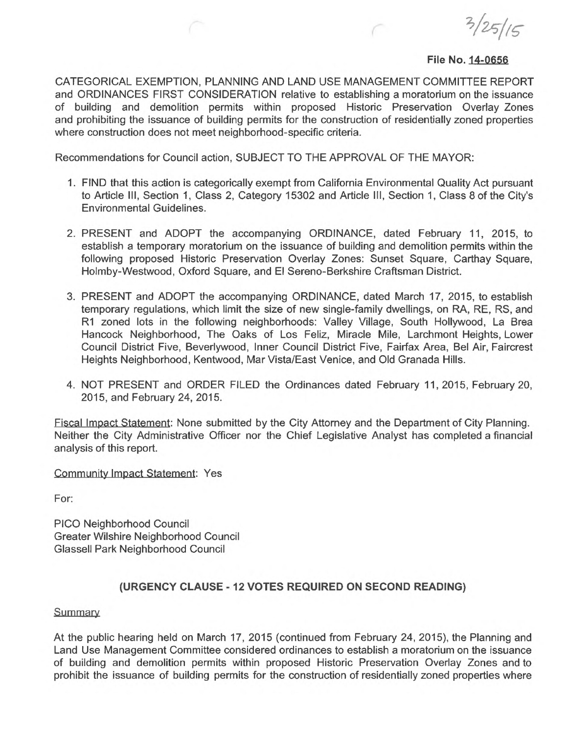$3/25/15$ 

## **File No. 14-0656**

CATEGORICAL EXEMPTION, PLANNING AND LAND USE MANAGEMENT COMMITTEE REPORT and ORDINANCES FIRST CONSIDERATION relative to establishing a moratorium on the issuance of building and demolition permits within proposed Historic Preservation Overlay Zones and prohibiting the issuance of building permits for the construction of residentially zoned properties where construction does not meet neighborhood-specific criteria.

Recommendations for Council action, SUBJECT TO THE APPROVAL OF THE MAYOR:

- 1. FIND that this action is categorically exempt from California Environmental Quality Act pursuant to Article III, Section 1, Class 2, Category 15302 and Article III, Section 1, Class 8 of the City's Environmental Guidelines.
- 2. PRESENT and ADOPT the accompanying ORDINANCE, dated February 11, 2015, to establish a temporary moratorium on the issuance of building and demolition permits within the following proposed Historic Preservation Overlay Zones: Sunset Square, Carthay Square, Holmby-Westwood, Oxford Square, and El Sereno-Berkshire Craftsman District.
- 3. PRESENT and ADOPT the accompanying ORDINANCE, dated March 17, 2015, to establish temporary regulations, which limit the size of new single-family dwellings, on RA, RE, RS, and R1 zoned lots in the following neighborhoods: Valley Village, South Hollywood, La Brea Hancock Neighborhood, The Oaks of Los Feliz, Miracle Mile, Larchmont Heights, Lower Council District Five, Beverlywood, Inner Council District Five, Fairfax Area, Bel Air, Faircrest Heights Neighborhood, Kentwood, Mar Vista/East Venice, and Old Granada Hills.
- 4. NOT PRESENT and ORDER FILED the Ordinances dated February 11,2015, February 20, 2015, and February 24, 2015.

Fiscal Impact Statement: None submitted by the City Attorney and the Department of City Planning. Neither the City Administrative Officer nor the Chief Legislative Analyst has completed a financial analysis of this report.

Community Impact Statement: Yes

For:

PICO Neighborhood Council Greater Wilshire Neighborhood Council Glassell Park Neighborhood Council

## **(URGENCY CLAUSE -12 VOTES REQUIRED ON SECOND READING)**

## **Summary**

At the public hearing held on March 17, 2015 (continued from February 24, 2015), the Planning and Land Use Management Committee considered ordinances to establish a moratorium on the issuance of building and demolition permits within proposed Historic Preservation Overlay Zones and to prohibit the issuance of building permits for the construction of residentially zoned properties where